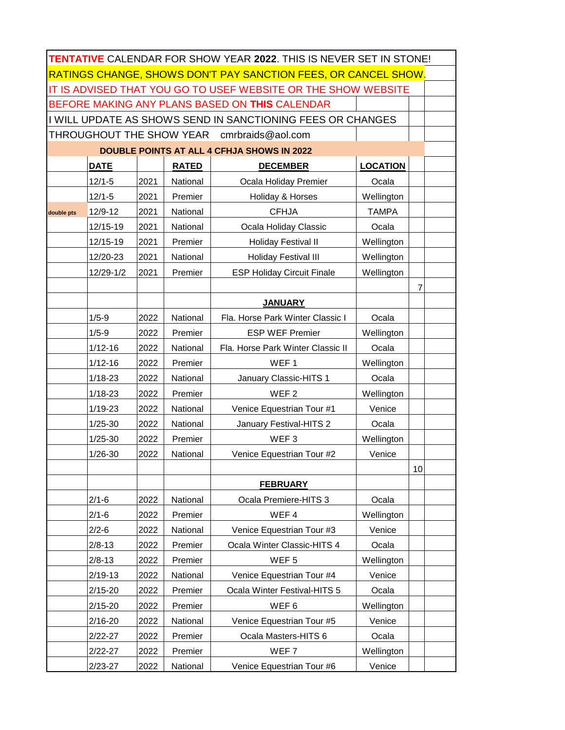| TENTATIVE CALENDAR FOR SHOW YEAR 2022. THIS IS NEVER SET IN STONE! |             |      |              |                                   |                 |                |  |
|--------------------------------------------------------------------|-------------|------|--------------|-----------------------------------|-----------------|----------------|--|
| RATINGS CHANGE, SHOWS DON'T PAY SANCTION FEES, OR CANCEL SHOW.     |             |      |              |                                   |                 |                |  |
| IT IS ADVISED THAT YOU GO TO USEF WEBSITE OR THE SHOW WEBSITE      |             |      |              |                                   |                 |                |  |
| BEFORE MAKING ANY PLANS BASED ON THIS CALENDAR                     |             |      |              |                                   |                 |                |  |
| I WILL UPDATE AS SHOWS SEND IN SANCTIONING FEES OR CHANGES         |             |      |              |                                   |                 |                |  |
| THROUGHOUT THE SHOW YEAR cmrbraids@aol.com                         |             |      |              |                                   |                 |                |  |
| <b>DOUBLE POINTS AT ALL 4 CFHJA SHOWS IN 2022</b>                  |             |      |              |                                   |                 |                |  |
|                                                                    | <b>DATE</b> |      | <b>RATED</b> | <b>DECEMBER</b>                   | <b>LOCATION</b> |                |  |
|                                                                    | $12/1 - 5$  | 2021 | National     | Ocala Holiday Premier             | Ocala           |                |  |
|                                                                    | $12/1 - 5$  | 2021 | Premier      | Holiday & Horses                  | Wellington      |                |  |
| double pts                                                         | 12/9-12     | 2021 | National     | <b>CFHJA</b>                      | <b>TAMPA</b>    |                |  |
|                                                                    | 12/15-19    | 2021 | National     | Ocala Holiday Classic             | Ocala           |                |  |
|                                                                    | 12/15-19    | 2021 | Premier      | <b>Holiday Festival II</b>        | Wellington      |                |  |
|                                                                    | 12/20-23    | 2021 | National     | <b>Holiday Festival III</b>       | Wellington      |                |  |
|                                                                    | 12/29-1/2   | 2021 | Premier      | <b>ESP Holiday Circuit Finale</b> | Wellington      |                |  |
|                                                                    |             |      |              |                                   |                 | $\overline{7}$ |  |
|                                                                    |             |      |              | <b>JANUARY</b>                    |                 |                |  |
|                                                                    | $1/5 - 9$   | 2022 | National     | Fla. Horse Park Winter Classic I  | Ocala           |                |  |
|                                                                    | $1/5 - 9$   | 2022 | Premier      | <b>ESP WEF Premier</b>            | Wellington      |                |  |
|                                                                    | $1/12 - 16$ | 2022 | National     | Fla. Horse Park Winter Classic II | Ocala           |                |  |
|                                                                    | $1/12 - 16$ | 2022 | Premier      | WEF <sub>1</sub>                  | Wellington      |                |  |
|                                                                    | $1/18 - 23$ | 2022 | National     | January Classic-HITS 1            | Ocala           |                |  |
|                                                                    | $1/18 - 23$ | 2022 | Premier      | WEF <sub>2</sub>                  | Wellington      |                |  |
|                                                                    | $1/19 - 23$ | 2022 | National     | Venice Equestrian Tour #1         | Venice          |                |  |
|                                                                    | $1/25 - 30$ | 2022 | National     | January Festival-HITS 2           | Ocala           |                |  |
|                                                                    | $1/25 - 30$ | 2022 | Premier      | WEF <sub>3</sub>                  | Wellington      |                |  |
|                                                                    | $1/26 - 30$ | 2022 | National     | Venice Equestrian Tour #2         | Venice          |                |  |
|                                                                    |             |      |              |                                   |                 | 10             |  |
|                                                                    |             |      |              | <b>FEBRUARY</b>                   |                 |                |  |
|                                                                    | $2/1 - 6$   | 2022 | National     | Ocala Premiere-HITS 3             | Ocala           |                |  |
|                                                                    | $2/1 - 6$   | 2022 | Premier      | WEF4                              | Wellington      |                |  |
|                                                                    | $2/2 - 6$   | 2022 | National     | Venice Equestrian Tour #3         | Venice          |                |  |
|                                                                    | $2/8 - 13$  | 2022 | Premier      | Ocala Winter Classic-HITS 4       | Ocala           |                |  |
|                                                                    | $2/8 - 13$  | 2022 | Premier      | WEF <sub>5</sub>                  | Wellington      |                |  |
|                                                                    | $2/19 - 13$ | 2022 | National     | Venice Equestrian Tour #4         | Venice          |                |  |
|                                                                    | $2/15 - 20$ | 2022 | Premier      | Ocala Winter Festival-HITS 5      | Ocala           |                |  |
|                                                                    | $2/15 - 20$ | 2022 | Premier      | WEF6                              | Wellington      |                |  |
|                                                                    | $2/16 - 20$ | 2022 | National     | Venice Equestrian Tour #5         | Venice          |                |  |
|                                                                    | $2/22 - 27$ | 2022 | Premier      | Ocala Masters-HITS 6              | Ocala           |                |  |
|                                                                    | $2/22 - 27$ | 2022 | Premier      | WEF <sub>7</sub>                  | Wellington      |                |  |
|                                                                    | $2/23 - 27$ | 2022 | National     | Venice Equestrian Tour #6         | Venice          |                |  |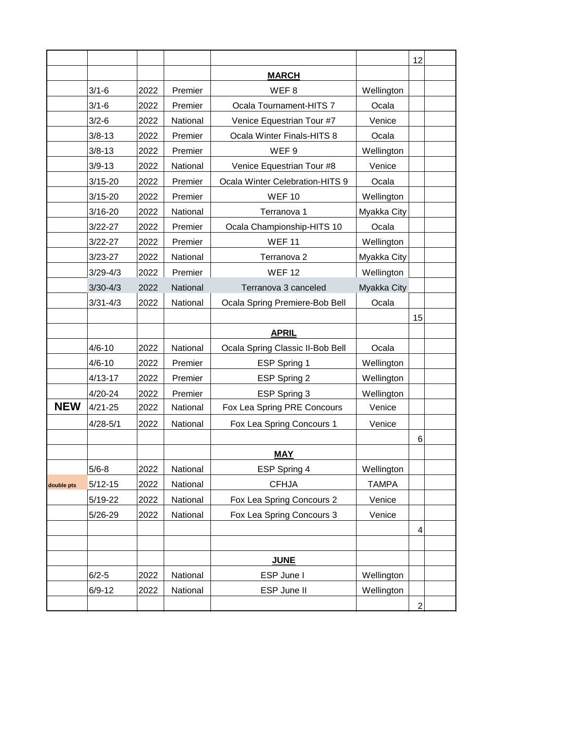|            |              |      |          |                                  |              | 12             |  |
|------------|--------------|------|----------|----------------------------------|--------------|----------------|--|
|            |              |      |          | <b>MARCH</b>                     |              |                |  |
|            | $3/1 - 6$    | 2022 | Premier  | WEF8                             | Wellington   |                |  |
|            | $3/1 - 6$    | 2022 | Premier  | Ocala Tournament-HITS 7          | Ocala        |                |  |
|            | $3/2 - 6$    | 2022 | National | Venice Equestrian Tour #7        | Venice       |                |  |
|            | $3/8 - 13$   | 2022 | Premier  | Ocala Winter Finals-HITS 8       | Ocala        |                |  |
|            | $3/8 - 13$   | 2022 | Premier  | WEF <sub>9</sub>                 | Wellington   |                |  |
|            | $3/9 - 13$   | 2022 | National | Venice Equestrian Tour #8        | Venice       |                |  |
|            | $3/15 - 20$  | 2022 | Premier  | Ocala Winter Celebration-HITS 9  | Ocala        |                |  |
|            | $3/15 - 20$  | 2022 | Premier  | <b>WEF10</b>                     | Wellington   |                |  |
|            | $3/16 - 20$  | 2022 | National | Terranova 1                      | Myakka City  |                |  |
|            | $3/22 - 27$  | 2022 | Premier  | Ocala Championship-HITS 10       | Ocala        |                |  |
|            | $3/22 - 27$  | 2022 | Premier  | <b>WEF11</b>                     | Wellington   |                |  |
|            | $3/23 - 27$  | 2022 | National | Terranova 2                      | Myakka City  |                |  |
|            | $3/29 - 4/3$ | 2022 | Premier  | <b>WEF12</b>                     | Wellington   |                |  |
|            | $3/30 - 4/3$ | 2022 | National | Terranova 3 canceled             | Myakka City  |                |  |
|            | $3/31 - 4/3$ | 2022 | National | Ocala Spring Premiere-Bob Bell   | Ocala        |                |  |
|            |              |      |          |                                  |              | 15             |  |
|            |              |      |          | <b>APRIL</b>                     |              |                |  |
|            | $4/6 - 10$   | 2022 | National | Ocala Spring Classic II-Bob Bell | Ocala        |                |  |
|            | $4/6 - 10$   | 2022 | Premier  | ESP Spring 1                     | Wellington   |                |  |
|            | $4/13 - 17$  | 2022 | Premier  | ESP Spring 2                     | Wellington   |                |  |
|            | 4/20-24      | 2022 | Premier  | ESP Spring 3                     | Wellington   |                |  |
| <b>NEW</b> | $4/21 - 25$  | 2022 | National | Fox Lea Spring PRE Concours      | Venice       |                |  |
|            | $4/28 - 5/1$ | 2022 | National | Fox Lea Spring Concours 1        | Venice       |                |  |
|            |              |      |          |                                  |              | 6              |  |
|            |              |      |          | <b>MAY</b>                       |              |                |  |
|            | $5/6 - 8$    | 2022 | National | ESP Spring 4                     | Wellington   |                |  |
| double pts | $5/12 - 15$  | 2022 | National | <b>CFHJA</b>                     | <b>TAMPA</b> |                |  |
|            | $5/19 - 22$  | 2022 | National | Fox Lea Spring Concours 2        | Venice       |                |  |
|            | 5/26-29      | 2022 | National | Fox Lea Spring Concours 3        | Venice       |                |  |
|            |              |      |          |                                  |              | 4              |  |
|            |              |      |          |                                  |              |                |  |
|            |              |      |          | <b>JUNE</b>                      |              |                |  |
|            | $6/2 - 5$    | 2022 | National | ESP June I                       | Wellington   |                |  |
|            | $6/9 - 12$   | 2022 | National | ESP June II                      | Wellington   |                |  |
|            |              |      |          |                                  |              | $\overline{c}$ |  |